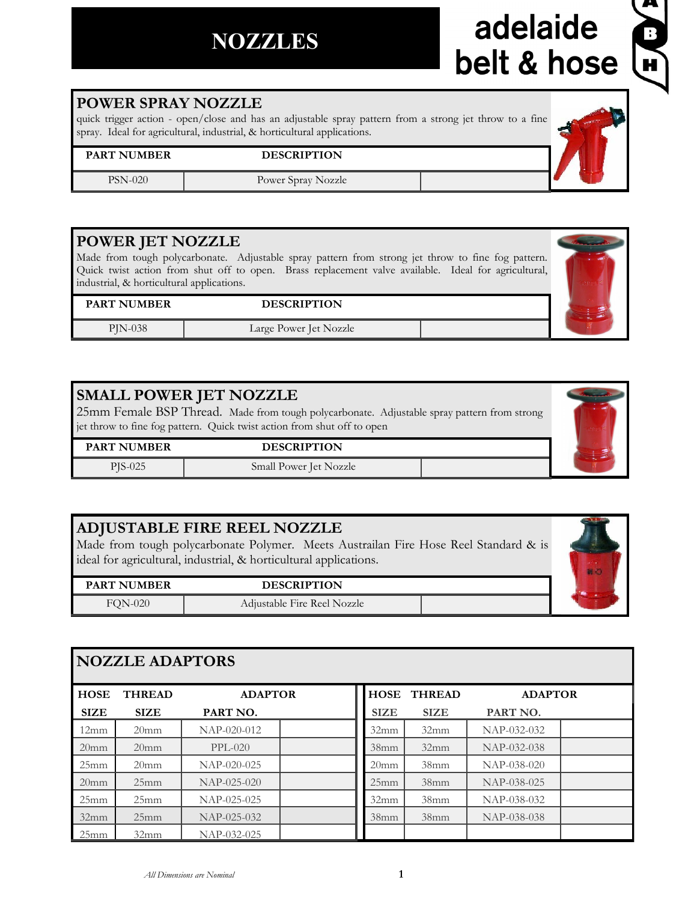## **NOZZLES**

# adelaide<br>belt & hose



**NOZZLE ADAPTORS**

25mm 25mm NAP-025-025 32mm 25mm NAP-025-032 25mm 32mm NAP-032-025

| HOSE             | <b>THREAD</b>    | <b>ADAPTOR</b> |                  | <b>HOSE THREAD</b> | ADA         |
|------------------|------------------|----------------|------------------|--------------------|-------------|
| <b>SIZE</b>      | <b>SIZE</b>      | PART NO.       | <b>SIZE</b>      | <b>SIZE</b>        | PART NO.    |
| 12mm             | 20 <sub>mm</sub> | NAP-020-012    | 32mm             | 32mm               | NAP-032-032 |
| 20 <sub>mm</sub> | 20 <sub>mm</sub> | $PPL-020$      | 38 <sub>mm</sub> | 32mm               | NAP-032-038 |
| 25mm             | 20 <sub>mm</sub> | NAP-020-025    | 20 <sub>mm</sub> | 38 <sub>mm</sub>   | NAP-038-020 |
| 20 <sub>mm</sub> | 25mm             | $NAP-025-020$  | 25mm             | 38 <sub>mm</sub>   | NAP-038-025 |

#### **POWER SPRAY NOZZLE**

quick trigger action - open/close and has an adjustable spray pattern from a strong jet throw to a fine spray. Ideal for agricultural, industrial, & horticultural applications.

#### **PART NUMBER DESCRIPTION**

PSN-020 Power Spray Nozzle

#### **POWER JET NOZZLE**

Made from tough polycarbonate. Adjustable spray pattern from strong jet throw to fine fog pattern. Quick twist action from shut off to open. Brass replacement valve available. Ideal for agricultural, industrial, & horticultural applications.

#### **PART NUMBER DESCRIPTION**

PJN-038 Large Power Jet Nozzle

#### **SMALL POWER JET NOZZLE**

25mm Female BSP Thread. Made from tough polycarbonate. Adjustable spray pattern from strong jet throw to fine fog pattern. Quick twist action from shut off to open

**PART NUMBER DESCRIPTION**

PJS-025 Small Power Jet Nozzle

#### **ADJUSTABLE FIRE REEL NOZZLE**

Made from tough polycarbonate Polymer. Meets Austrailan Fire Hose Reel Standard & is ideal for agricultural, industrial, & horticultural applications.

| <b>PART NUMBER</b> | <b>DESCRIPTION</b>          |  |
|--------------------|-----------------------------|--|
| <b>FQN-020</b>     | Adjustable Fire Reel Nozzle |  |









 $ADAPTOR$ 

32mm 38mm NAP-038-032 38mm 38mm NAP-038-038